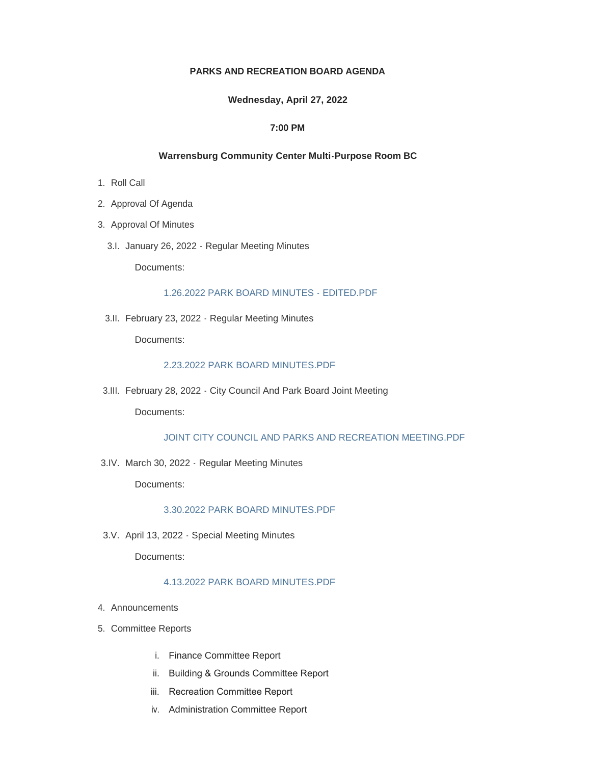# **PARKS AND RECREATION BOARD AGENDA**

#### **Wednesday, April 27, 2022**

## **7:00 PM**

# **Warrensburg Community Center Multi-Purpose Room BC**

- 1. Roll Call
- 2. Approval Of Agenda
- 3. Approval Of Minutes
	- 3.I. January 26, 2022 Regular Meeting Minutes

Documents:

#### [1.26.2022 PARK BOARD MINUTES - EDITED.PDF](https://www.warrensburg-mo.com/AgendaCenter/ViewFile/Item/6239?fileID=10941)

3.II. February 23, 2022 - Regular Meeting Minutes

Documents:

#### [2.23.2022 PARK BOARD MINUTES.PDF](https://www.warrensburg-mo.com/AgendaCenter/ViewFile/Item/6240?fileID=10942)

February 28, 2022 - City Council And Park Board Joint Meeting 3.III.

Documents:

## [JOINT CITY COUNCIL AND PARKS AND RECREATION MEETING.PDF](https://www.warrensburg-mo.com/AgendaCenter/ViewFile/Item/6241?fileID=10943)

3.IV. March 30, 2022 - Regular Meeting Minutes

Documents:

## [3.30.2022 PARK BOARD MINUTES.PDF](https://www.warrensburg-mo.com/AgendaCenter/ViewFile/Item/6249?fileID=11048)

3.V. April 13, 2022 - Special Meeting Minutes

Documents:

# [4.13.2022 PARK BOARD MINUTES.PDF](https://www.warrensburg-mo.com/AgendaCenter/ViewFile/Item/6458?fileID=11049)

- 4. Announcements
- 5. Committee Reports
	- i. Finance Committee Report
	- ii. Building & Grounds Committee Report
	- iii. Recreation Committee Report
	- iv. Administration Committee Report